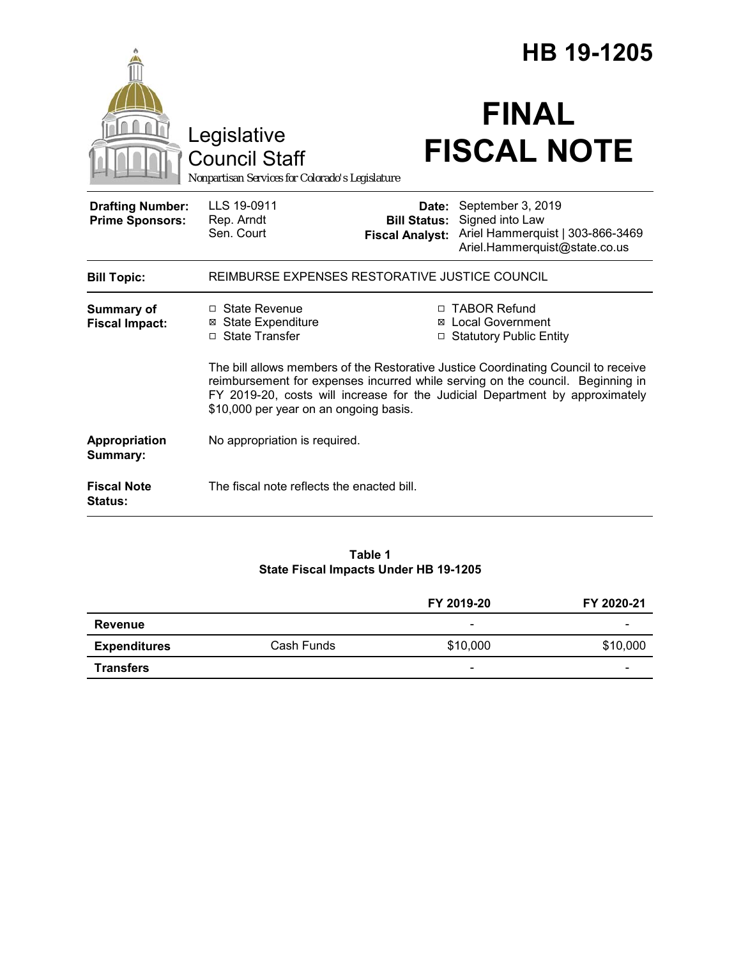|                                                   |                                                                                                                                                                                                                                                                                                |                                                        | HB 19-1205                                                                                                |  |
|---------------------------------------------------|------------------------------------------------------------------------------------------------------------------------------------------------------------------------------------------------------------------------------------------------------------------------------------------------|--------------------------------------------------------|-----------------------------------------------------------------------------------------------------------|--|
|                                                   | Legislative<br><b>Council Staff</b><br>Nonpartisan Services for Colorado's Legislature                                                                                                                                                                                                         |                                                        | <b>FINAL</b><br><b>FISCAL NOTE</b>                                                                        |  |
| <b>Drafting Number:</b><br><b>Prime Sponsors:</b> | LLS 19-0911<br>Rep. Arndt<br>Sen. Court                                                                                                                                                                                                                                                        | Date:<br><b>Bill Status:</b><br><b>Fiscal Analyst:</b> | September 3, 2019<br>Signed into Law<br>Ariel Hammerquist   303-866-3469<br>Ariel.Hammerquist@state.co.us |  |
| <b>Bill Topic:</b>                                | REIMBURSE EXPENSES RESTORATIVE JUSTICE COUNCIL                                                                                                                                                                                                                                                 |                                                        |                                                                                                           |  |
| <b>Summary of</b><br><b>Fiscal Impact:</b>        | □ State Revenue<br><b>⊠ State Expenditure</b><br>□ State Transfer                                                                                                                                                                                                                              |                                                        | □ TABOR Refund<br>⊠ Local Government<br>□ Statutory Public Entity                                         |  |
|                                                   | The bill allows members of the Restorative Justice Coordinating Council to receive<br>reimbursement for expenses incurred while serving on the council. Beginning in<br>FY 2019-20, costs will increase for the Judicial Department by approximately<br>\$10,000 per year on an ongoing basis. |                                                        |                                                                                                           |  |
| Appropriation<br>Summary:                         | No appropriation is required.                                                                                                                                                                                                                                                                  |                                                        |                                                                                                           |  |
| <b>Fiscal Note</b><br><b>Status:</b>              | The fiscal note reflects the enacted bill.                                                                                                                                                                                                                                                     |                                                        |                                                                                                           |  |

#### **Table 1 State Fiscal Impacts Under HB 19-1205**

|                     |            | FY 2019-20               | FY 2020-21 |
|---------------------|------------|--------------------------|------------|
| Revenue             |            | $\overline{\phantom{0}}$ | -          |
| <b>Expenditures</b> | Cash Funds | \$10,000                 | \$10,000   |
| <b>Transfers</b>    |            |                          |            |